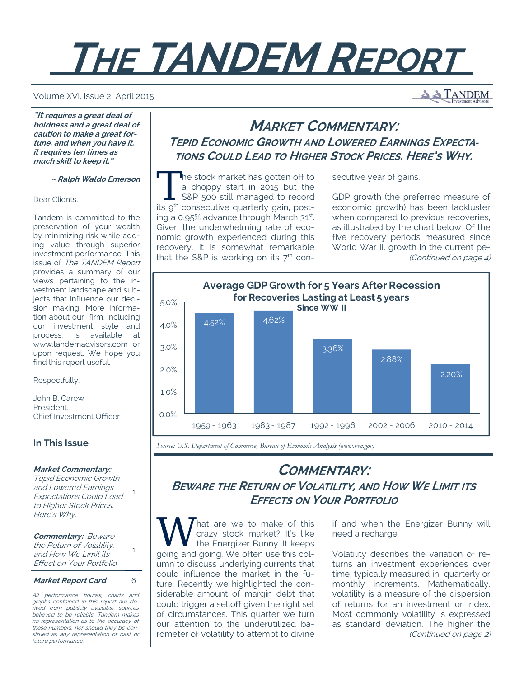# **THE TANDEM REPORT**

#### Volume XVI, Issue 2 April 2015

**"It requires a great deal of boldness and a great deal of caution to make a great fortune, and when you have it, it requires ten times as much skill to keep it."** 

 **~ Ralph Waldo Emerson**

Dear Clients,

Tandem is committed to the preservation of your wealth by minimizing risk while adding value through superior investment performance. This issue of The TANDEM Report provides a summary of our views pertaining to the investment landscape and subjects that influence our decision making. More information about our firm, including our investment style and process, is available at www.tandemadvisors.com or upon request. We hope you find this report useful.

Respectfully,

John B. Carew President, Chief Investment Officer

## **In This Issue**

#### **Market Commentary:**

Tepid Economic Growth and Lowered Earnings Expectations Could Lead to Higher Stock Prices. Here's Why. 1

**Commentary:** Beware the Return of Volatility, and How We Limit its Effect on Your Portfolio

1

**Market Report Card** 6

All performance figures, charts and graphs contained in this report are derived from publicly available sources believed to be reliable. Tandem makes no representation as to the accuracy of these numbers, nor should they be construed as any representation of past or future performance.

## **MARKET COMMENTARY: TEPID ECONOMIC GROWTH AND LOWERED EARNINGS EXPECTA-TIONS COULD LEAD TO HIGHER STOCK PRICES. HERE'S WHY.**

The stock market has gotten off to<br>
a choppy start in 2015 but the<br>
S&P 500 still managed to record<br>
its o<sup>th</sup> consecutive quarterly gain post a choppy start in 2015 but the its 9<sup>th</sup> consecutive quarterly gain, posting a 0.95% advance through March 31st. Given the underwhelming rate of economic growth experienced during this recovery, it is somewhat remarkable that the S&P is working on its  $7<sup>th</sup>$  con-

secutive year of gains.

GDP growth (the preferred measure of economic growth) has been lackluster when compared to previous recoveries, as illustrated by the chart below. Of the five recovery periods measured since World War II, growth in the current pe- (Continued on page 4)

**A TANDEM** 



*Source: U.S. Department of Commerce, Bureau of Economic Analysis (www.bea.gov)* 

# **COMMENTARY:**

**BEWARE THE RETURN OF VOLATILITY, AND HOW WE LIMIT ITS EFFECTS ON YOUR PORTFOLIO**

W hat are we to make of this<br>the Energizer Bunny. It keeps<br>aging and going We often use this sol crazy stock market? It's like the Energizer Bunny. It keeps going and going. We often use this column to discuss underlying currents that could influence the market in the future. Recently we highlighted the considerable amount of margin debt that could trigger a selloff given the right set of circumstances. This quarter we turn our attention to the underutilized barometer of volatility to attempt to divine

if and when the Energizer Bunny will need a recharge.

Volatility describes the variation of returns an investment experiences over time, typically measured in quarterly or monthly increments. Mathematically, volatility is a measure of the dispersion of returns for an investment or index. Most commonly volatility is expressed as standard deviation. The higher the (Continued on page 2)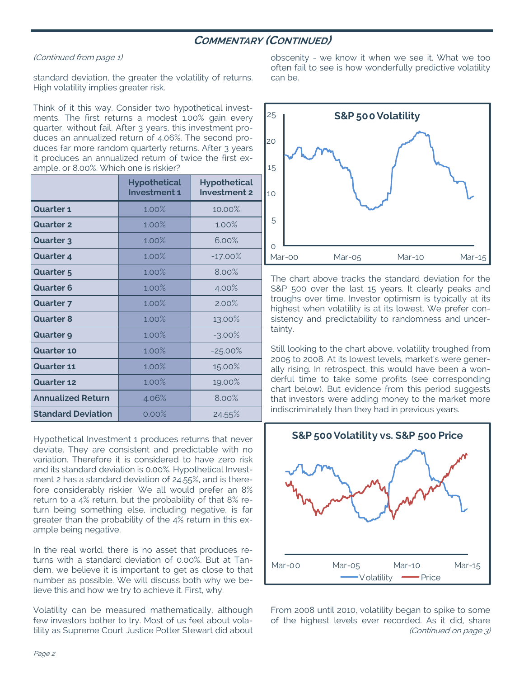## **COMMENTARY (CONTINUED)**

## (Continued from page 1)

standard deviation, the greater the volatility of returns. High volatility implies greater risk.

Think of it this way. Consider two hypothetical investments. The first returns a modest 1.00% gain every quarter, without fail. After 3 years, this investment produces an annualized return of 4.06%. The second produces far more random quarterly returns. After 3 years it produces an annualized return of twice the first example, or 8.00%. Which one is riskier?

|                           | <b>Hypothetical</b><br><b>Investment 1</b> | <b>Hypothetical</b><br><b>Investment 2</b> |
|---------------------------|--------------------------------------------|--------------------------------------------|
| <b>Quarter 1</b>          | 1.00%                                      | 10.00%                                     |
| <b>Quarter 2</b>          | 1.00%                                      | 1.00%                                      |
| <b>Quarter 3</b>          | 1.00%                                      | 6.00%                                      |
| <b>Quarter 4</b>          | 1.00%                                      | $-17.00%$                                  |
| <b>Quarter 5</b>          | 1.00%                                      | 8.00%                                      |
| <b>Quarter 6</b>          | 1.00%                                      | 4.00%                                      |
| <b>Quarter 7</b>          | 1.00%                                      | 2.00%                                      |
| <b>Quarter 8</b>          | 1.00%                                      | 13.00%                                     |
| <b>Quarter 9</b>          | 1.00%                                      | $-3.00\%$                                  |
| <b>Quarter 10</b>         | 1.00%                                      | $-25.00\%$                                 |
| <b>Quarter 11</b>         | 1.00%                                      | 15.00%                                     |
| <b>Quarter 12</b>         | 1.00%                                      | 19.00%                                     |
| <b>Annualized Return</b>  | 4.06%                                      | 8.00%                                      |
| <b>Standard Deviation</b> | 0.00%                                      | 24.55%                                     |

Hypothetical Investment 1 produces returns that never deviate. They are consistent and predictable with no variation. Therefore it is considered to have zero risk and its standard deviation is 0.00%. Hypothetical Investment 2 has a standard deviation of 24.55%, and is therefore considerably riskier. We all would prefer an 8% return to a 4% return, but the probability of that 8% return being something else, including negative, is far greater than the probability of the 4% return in this example being negative.

In the real world, there is no asset that produces returns with a standard deviation of 0.00%. But at Tandem, we believe it is important to get as close to that number as possible. We will discuss both why we believe this and how we try to achieve it. First, why.

Volatility can be measured mathematically, although few investors bother to try. Most of us feel about volatility as Supreme Court Justice Potter Stewart did about obscenity - we know it when we see it. What we too often fail to see is how wonderfully predictive volatility can be.



The chart above tracks the standard deviation for the S&P 500 over the last 15 years. It clearly peaks and troughs over time. Investor optimism is typically at its highest when volatility is at its lowest. We prefer consistency and predictability to randomness and uncertainty.

Still looking to the chart above, volatility troughed from 2005 to 2008. At its lowest levels, market's were generally rising. In retrospect, this would have been a wonderful time to take some profits (see corresponding chart below). But evidence from this period suggests that investors were adding money to the market more indiscriminately than they had in previous years.



From 2008 until 2010, volatility began to spike to some of the highest levels ever recorded. As it did, share (Continued on page 3)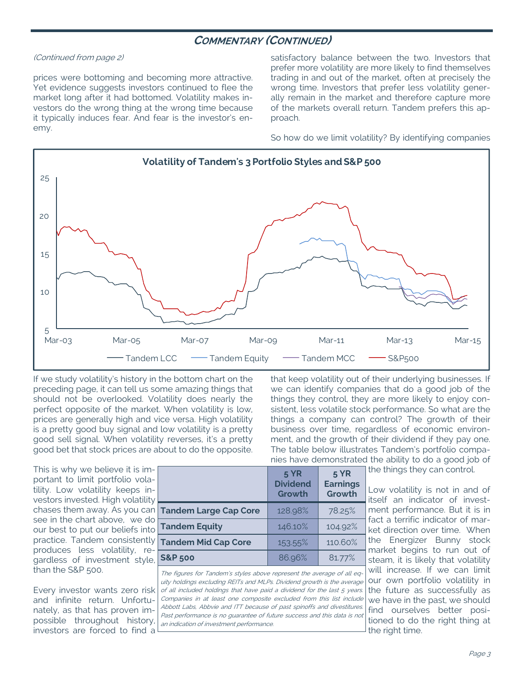## **COMMENTARY (CONTINUED)**

#### (Continued from page 2)

prices were bottoming and becoming more attractive. Yet evidence suggests investors continued to flee the market long after it had bottomed. Volatility makes investors do the wrong thing at the wrong time because it typically induces fear. And fear is the investor's enemy.

satisfactory balance between the two. Investors that prefer more volatility are more likely to find themselves trading in and out of the market, often at precisely the wrong time. Investors that prefer less volatility generally remain in the market and therefore capture more of the markets overall return. Tandem prefers this approach.

So how do we limit volatility? By identifying companies

that keep volatility out of their underlying businesses. If we can identify companies that do a good job of the things they control, they are more likely to enjoy consistent, less volatile stock performance. So what are the things a company can control? The growth of their business over time, regardless of economic environment, and the growth of their dividend if they pay one. The table below illustrates Tandem's portfolio companies have demonstrated the ability to do a good job of



If we study volatility's history in the bottom chart on the preceding page, it can tell us some amazing things that should not be overlooked. Volatility does nearly the perfect opposite of the market. When volatility is low, prices are generally high and vice versa. High volatility is a pretty good buy signal and low volatility is a pretty good sell signal. When volatility reverses, it's a pretty good bet that stock prices are about to do the opposite.

This is why we believe it is important to limit portfolio volatility. Low volatility keeps investors invested. High volatility chases them away. As you can see in the chart above, we do our best to put our beliefs into practice. Tandem consistently produces less volatility, regardless of investment style, than the S&P 500.

Every investor wants zero risk and infinite return. Unfortunately, as that has proven impossible throughout history, investors are forced to find a

|                              | <b>5 YR</b><br><b>Dividend</b><br>Growth | <b>5 YR</b><br><b>Earnings</b><br>Growth |
|------------------------------|------------------------------------------|------------------------------------------|
| <b>Tandem Large Cap Core</b> | 128.98%                                  | 78.25%                                   |
| <b>Tandem Equity</b>         | 146.10%                                  | 104.92%                                  |
| <b>Tandem Mid Cap Core</b>   | 153.55%                                  | 110.60%                                  |
| <b>S&amp;P 500</b>           | 86.96%                                   | 81.77%                                   |

The figures for Tandem's styles above represent the average of all equity holdings excluding REITs and MLPs. Dividend growth is the average of all included holdings that have paid a dividend for the last 5 years. Companies in at least one composite excluded from this list include Abbott Labs, Abbvie and ITT because of past spinoffs and divestitures. Past performance is no guarantee of future success and this data is not an indication of investment performance.

the things they can control.

Low volatility is not in and of itself an indicator of investment performance. But it is in fact a terrific indicator of market direction over time. When the Energizer Bunny stock market begins to run out of steam, it is likely that volatility will increase. If we can limit our own portfolio volatility in the future as successfully as we have in the past, we should find ourselves better positioned to do the right thing at the right time.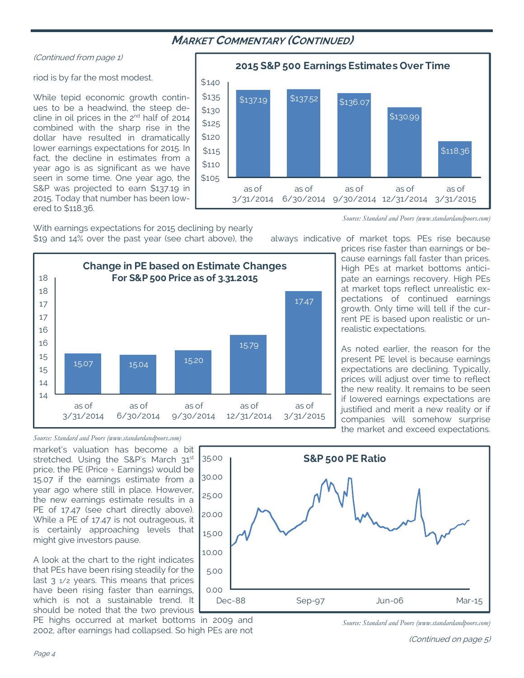## **MARKET COMMENTARY (CONTINUED)**

## (Continued from page 1)

## riod is by far the most modest.

While tepid economic growth continues to be a headwind, the steep decline in oil prices in the 2<sup>nd</sup> half of 2014 combined with the sharp rise in the dollar have resulted in dramatically lower earnings expectations for 2015. In fact, the decline in estimates from a year ago is as significant as we have seen in some time. One year ago, the S&P was projected to earn \$137.19 in 2015. Today that number has been lowered to \$118.36.

With earnings expectations for 2015 declining by nearly \$19 and 14% over the past year (see chart above), the



 $$137.19$   $$137.52$   $$136.07$ \$130.99 \$118.36 \$105 \$110 \$115 \$120 \$125 \$130 \$135 \$140 as of 3/31/2014 as of 6/30/2014 9/30/2014 12/31/2014 3/31/2015 as of as of as of **2015 S&P 500 Earnings Estimates Over Time**

*Source: Standard and Poors (www.standardandpoors.com)* 

always indicative of market tops. PEs rise because

prices rise faster than earnings or because earnings fall faster than prices. High PEs at market bottoms anticipate an earnings recovery. High PEs at market tops reflect unrealistic expectations of continued earnings growth. Only time will tell if the current PE is based upon realistic or unrealistic expectations.

As noted earlier, the reason for the present PE level is because earnings expectations are declining. Typically, prices will adjust over time to reflect the new reality. It remains to be seen if lowered earnings expectations are justified and merit a new reality or if companies will somehow surprise the market and exceed expectations.

## *Source: Standard and Poors (www.standardandpoors.com)*

market's valuation has become a bit stretched. Using the S&P's March 31<sup>st</sup> price, the PE (Price  $\div$  Earnings) would be 15.07 if the earnings estimate from a year ago where still in place. However, the new earnings estimate results in a PE of 17.47 (see chart directly above). While a PE of 17.47 is not outrageous, it is certainly approaching levels that might give investors pause.

A look at the chart to the right indicates that PEs have been rising steadily for the last  $3 \frac{1}{2}$  years. This means that prices have been rising faster than earnings, which is not a sustainable trend. It should be noted that the two previous

PE highs occurred at market bottoms in 2009 and 2002, after earnings had collapsed. So high PEs are not



*Source: Standard and Poors (www.standardandpoors.com)*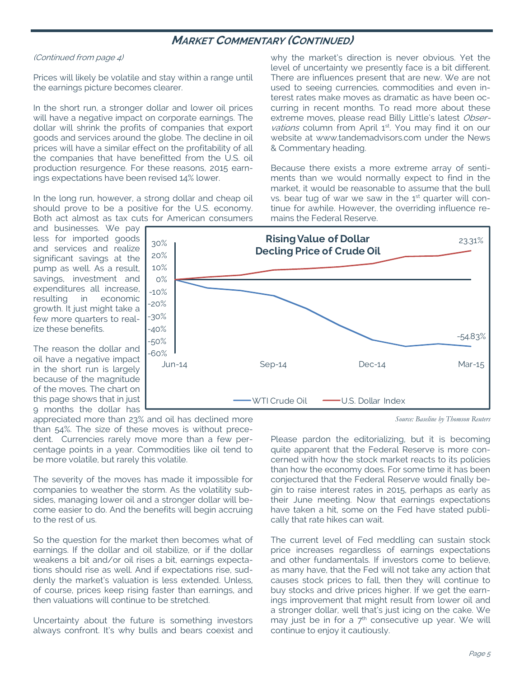## **MARKET COMMENTARY (CONTINUED)**

#### (Continued from page 4)

Prices will likely be volatile and stay within a range until the earnings picture becomes clearer.

In the short run, a stronger dollar and lower oil prices will have a negative impact on corporate earnings. The dollar will shrink the profits of companies that export goods and services around the globe. The decline in oil prices will have a similar effect on the profitability of all the companies that have benefitted from the U.S. oil production resurgence. For these reasons, 2015 earnings expectations have been revised 14% lower.

In the long run, however, a strong dollar and cheap oil should prove to be a positive for the U.S. economy. Both act almost as tax cuts for American consumers

and businesses. We pay less for imported goods and services and realize significant savings at the pump as well. As a result, savings, investment and expenditures all increase, resulting in economic growth. It just might take a few more quarters to realize these benefits.

The reason the dollar and oil have a negative impact in the short run is largely because of the magnitude of the moves. The chart on this page shows that in just 9 months the dollar has

appreciated more than 23% and oil has declined more than 54%. The size of these moves is without precedent. Currencies rarely move more than a few percentage points in a year. Commodities like oil tend to be more volatile, but rarely this volatile.

The severity of the moves has made it impossible for companies to weather the storm. As the volatility subsides, managing lower oil and a stronger dollar will become easier to do. And the benefits will begin accruing to the rest of us.

So the question for the market then becomes what of earnings. If the dollar and oil stabilize, or if the dollar weakens a bit and/or oil rises a bit, earnings expectations should rise as well. And if expectations rise, suddenly the market's valuation is less extended. Unless, of course, prices keep rising faster than earnings, and then valuations will continue to be stretched.

Uncertainty about the future is something investors always confront. It's why bulls and bears coexist and why the market's direction is never obvious. Yet the level of uncertainty we presently face is a bit different. There are influences present that are new. We are not used to seeing currencies, commodities and even interest rates make moves as dramatic as have been occurring in recent months. To read more about these extreme moves, please read Billy Little's latest Observations column from April 1<sup>st</sup>. You may find it on our website at www.tandemadvisors.com under the News & Commentary heading.

Because there exists a more extreme array of sentiments than we would normally expect to find in the market, it would be reasonable to assume that the bull vs. bear tug of war we saw in the  $1<sup>st</sup>$  quarter will continue for awhile. However, the overriding influence remains the Federal Reserve.



*Source: Baseline by Thomson Reuters* 

Please pardon the editorializing, but it is becoming quite apparent that the Federal Reserve is more concerned with how the stock market reacts to its policies than how the economy does. For some time it has been conjectured that the Federal Reserve would finally begin to raise interest rates in 2015, perhaps as early as their June meeting. Now that earnings expectations have taken a hit, some on the Fed have stated publically that rate hikes can wait.

The current level of Fed meddling can sustain stock price increases regardless of earnings expectations and other fundamentals. If investors come to believe, as many have, that the Fed will not take any action that causes stock prices to fall, then they will continue to buy stocks and drive prices higher. If we get the earnings improvement that might result from lower oil and a stronger dollar, well that's just icing on the cake. We may just be in for a  $7<sup>th</sup>$  consecutive up year. We will continue to enjoy it cautiously.